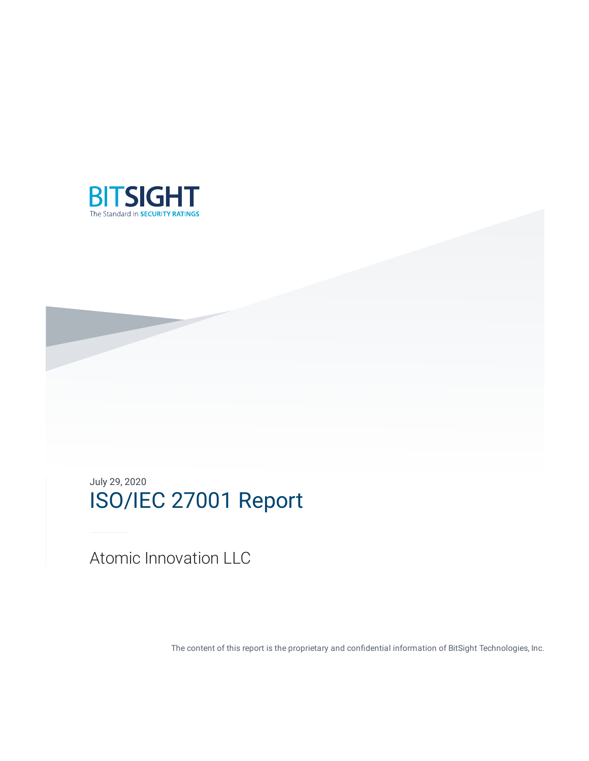

July 29, 2020 ISO/IEC 27001 Report

Atomic Innovation LLC

The content of this report is the proprietary and confidential information of BitSight Technologies, Inc.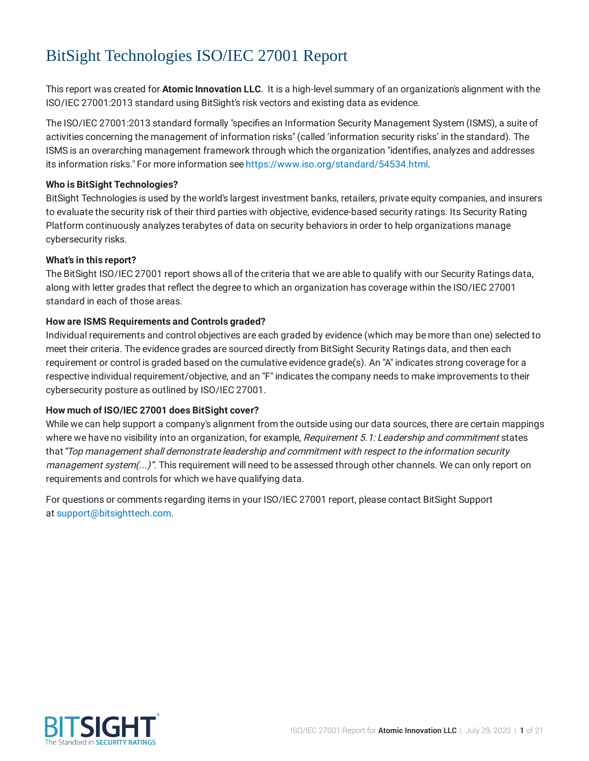# BitSight Technologies ISO/IEC 27001 Report

This report was created for **Atomic Innovation LLC**. It is a high-level summary of an organization's alignment with the ISO/IEC 27001:2013 standard using BitSight's risk vectors and existing data as evidence.

The ISO/IEC 27001:2013 standard formally "specifies an Information Security Management System (ISMS), a suite of activities concerning the management of information risks" (called 'information security risks' in the standard). The ISMS is an overarching management framework through which the organization "identifies, analyzes and addresses its information risks." For more information see [https://www.iso.org/standard/54534.html.](https://www.iso.org/standard/54534.html)

### **Who is BitSight Technologies?**

BitSight Technologies is used by the world's largest investment banks, retailers, private equity companies, and insurers to evaluate the security risk of their third parties with objective, evidence-based security ratings. Its Security Rating Platform continuously analyzes terabytes of data on security behaviors in order to help organizations manage cybersecurity risks.

### **What's in this report?**

The BitSight ISO/IEC 27001 report shows all of the criteria that we are able to qualify with our Security Ratings data, along with letter grades that reflect the degree to which an organization has coverage within the ISO/IEC 27001 standard in each of those areas.

### **How are ISMS Requirements and Controls graded?**

Individual requirements and control objectives are each graded by evidence (which may be more than one) selected to meet their criteria. The evidence grades are sourced directly from BitSight Security Ratings data, and then each requirement or control is graded based on the cumulative evidence grade(s). An "A" indicates strong coverage for a respective individual requirement/objective, and an "F" indicates the company needs to make improvements to their cybersecurity posture as outlined by ISO/IEC 27001.

#### **How much of ISO/IEC 27001 does BitSight cover?**

While we can help support a company's alignment from the outside using our data sources, there are certain mappings where we have no visibility into an organization, for example, Requirement 5.1: Leadership and commitment states that"Top management shall demonstrate leadership and commitment with respect to the information security management system(...)". This requirement will need to be assessed through other channels. We can only report on requirements and controls for which we have qualifying data.

For questions or comments regarding items in your ISO/IEC 27001 report, please contact BitSight Support at [support@bitsighttech.com.](mailto:support@bitsighttech.com?subject=ISO/IEC%2027001%20%20%20%20%20%20%20%20%20%20%20%20%20%20CSF%20Report%20for%20Atomic%20Innovation%20LLC)

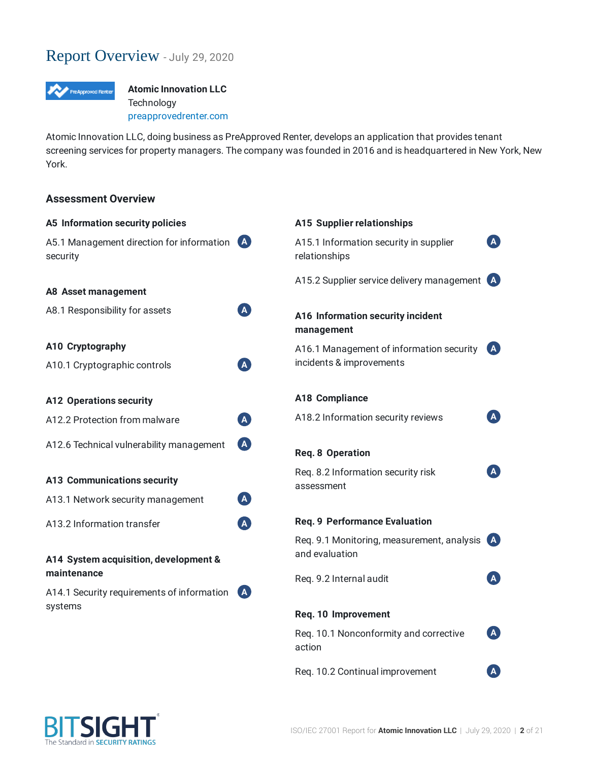# Report Overview - July 29, <sup>2020</sup>



**Atomic Innovation LLC Technology** [preapprovedrenter.com](http://preapprovedrenter.com/)

Atomic Innovation LLC, doing business as PreApproved Renter, develops an application that provides tenant screening services for property managers. The company was founded in 2016 and is headquartered in New York, New York.

### **Assessment Overview**

| A5 Information security policies                             |                           | A15 Supplier relationships                              |              |  |  |
|--------------------------------------------------------------|---------------------------|---------------------------------------------------------|--------------|--|--|
| A5.1 Management direction for information<br>(A)<br>security |                           | A15.1 Information security in supplier<br>relationships |              |  |  |
|                                                              |                           | A15.2 Supplier service delivery management (A)          |              |  |  |
| <b>A8 Asset management</b>                                   |                           |                                                         |              |  |  |
| A8.1 Responsibility for assets                               | A                         | A16 Information security incident<br>management         |              |  |  |
| A10 Cryptography                                             |                           | A16.1 Management of information security                | l A          |  |  |
| A10.1 Cryptographic controls                                 | $\left( {\bf{A}} \right)$ | incidents & improvements                                |              |  |  |
| <b>A12 Operations security</b>                               |                           | <b>A18 Compliance</b>                                   |              |  |  |
| A12.2 Protection from malware                                | A                         | A18.2 Information security reviews                      |              |  |  |
| A12.6 Technical vulnerability management                     | A                         | <b>Req. 8 Operation</b>                                 |              |  |  |
| <b>A13 Communications security</b>                           |                           | Req. 8.2 Information security risk<br>assessment        | $\mathbf{A}$ |  |  |
| A13.1 Network security management                            | A                         |                                                         |              |  |  |
| A13.2 Information transfer                                   | A                         | <b>Req. 9 Performance Evaluation</b>                    |              |  |  |
|                                                              |                           | Req. 9.1 Monitoring, measurement, analysis              | <b>A</b>     |  |  |
| A14 System acquisition, development &                        |                           | and evaluation                                          |              |  |  |
| maintenance                                                  |                           | Req. 9.2 Internal audit                                 |              |  |  |
| A14.1 Security requirements of information                   | <b>A</b>                  |                                                         |              |  |  |
| systems                                                      |                           | Req. 10 Improvement                                     |              |  |  |
|                                                              |                           | Req. 10.1 Nonconformity and corrective<br>action        | $\mathbf{A}$ |  |  |
|                                                              |                           | Req. 10.2 Continual improvement                         | $\mathsf{A}$ |  |  |

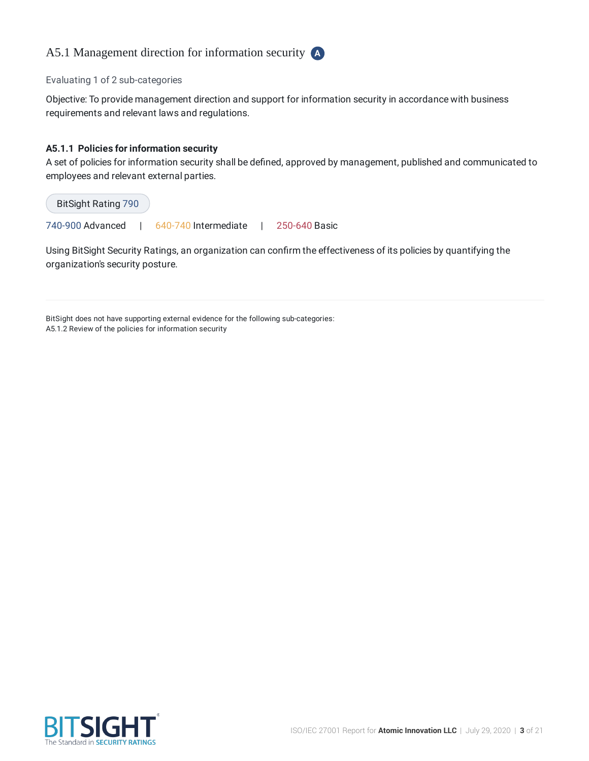# A5.1 Management direction for information security **A**

#### Evaluating 1 of 2 sub-categories

Objective: To provide management direction and support for information security in accordance with business requirements and relevant laws and regulations.

#### **A5.1.1 Policies for information security**

A set of policies for information security shall be defined, approved by management, published and communicated to employees and relevant external parties.

| BitSight Rating 790 |                      |               |
|---------------------|----------------------|---------------|
| 740-900 Advanced    | 640-740 Intermediate | 250-640 Basic |

Using BitSight Security Ratings, an organization can confirm the effectiveness of its policies by quantifying the organization's security posture.

BitSight does not have supporting external evidence for the following sub-categories: A5.1.2 Review of the policies for information security

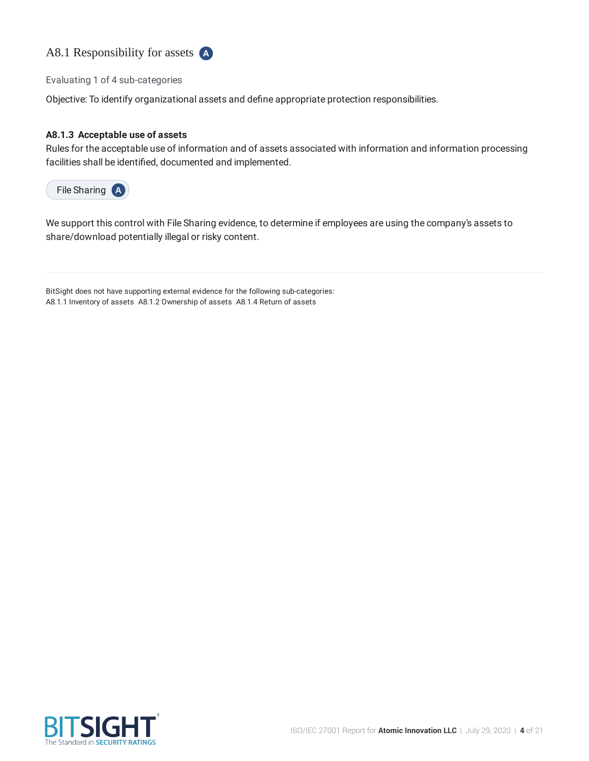

Evaluating 1 of 4 sub-categories

Objective: To identify organizational assets and define appropriate protection responsibilities.

#### **A8.1.3 Acceptable use of assets**

Rules for the acceptable use of information and of assets associated with information and information processing facilities shall be identified, documented and implemented.

File Sharing **A**

We support this control with File Sharing evidence, to determine if employees are using the company's assets to share/download potentially illegal or risky content.

BitSight does not have supporting external evidence for the following sub-categories: A8.1.1 Inventory of assets A8.1.2 Ownership of assets A8.1.4 Return of assets

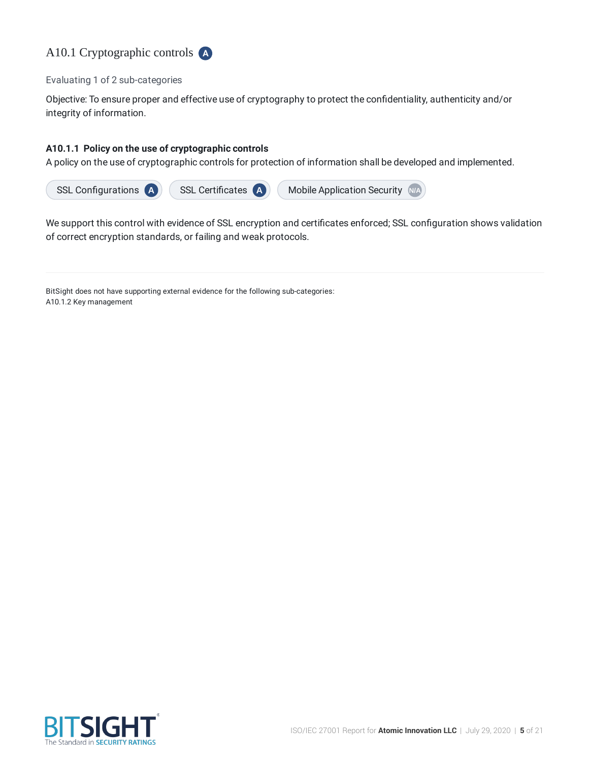

Evaluating 1 of 2 sub-categories

Objective: To ensure proper and effective use of cryptography to protect the confidentiality, authenticity and/or integrity of information.

### **A10.1.1 Policy on the use of cryptographic controls**

A policy on the use of cryptographic controls for protection of information shall be developed and implemented.



We support this control with evidence of SSL encryption and certificates enforced; SSL configuration shows validation of correct encryption standards, or failing and weak protocols.

BitSight does not have supporting external evidence for the following sub-categories: A10.1.2 Key management

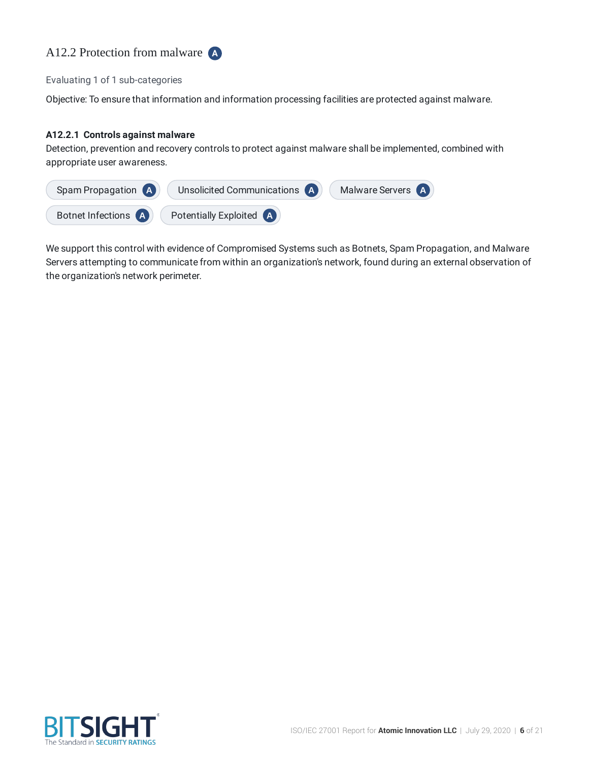

#### Evaluating 1 of 1 sub-categories

Objective: To ensure that information and information processing facilities are protected against malware.

#### **A12.2.1 Controls against malware**

Detection, prevention and recovery controls to protect against malware shall be implemented, combined with appropriate user awareness.



We support this control with evidence of Compromised Systems such as Botnets, Spam Propagation, and Malware Servers attempting to communicate from within an organization's network, found during an external observation of the organization's network perimeter.

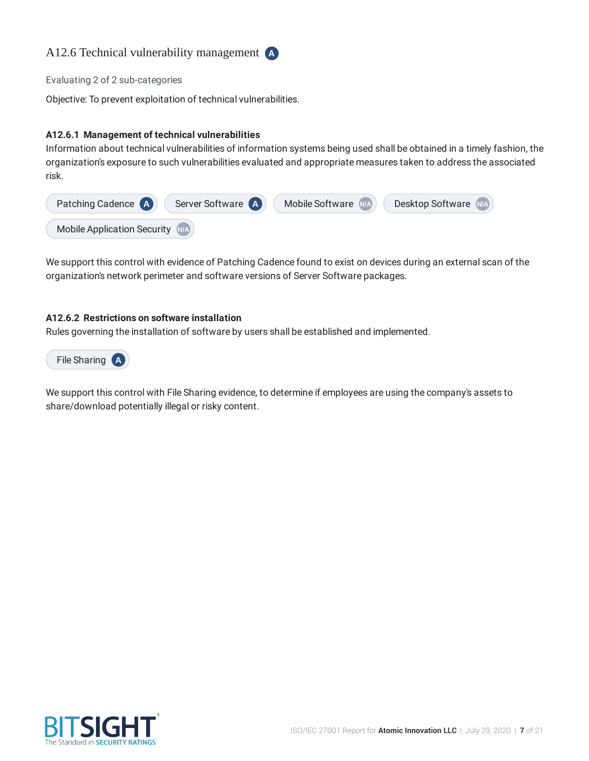

Evaluating 2 of 2 sub-categories

Objective: To prevent exploitation of technical vulnerabilities.

### **A12.6.1 Management of technical vulnerabilities**

Information about technical vulnerabilities of information systems being used shall be obtained in a timely fashion, the organization's exposure to such vulnerabilities evaluated and appropriate measures taken to address the associated risk.



We support this control with evidence of Patching Cadence found to exist on devices during an external scan of the organization's network perimeter and software versions of Server Software packages.

#### **A12.6.2 Restrictions on software installation**

Rules governing the installation of software by users shall be established and implemented.



We support this control with File Sharing evidence, to determine if employees are using the company's assets to share/download potentially illegal or risky content.

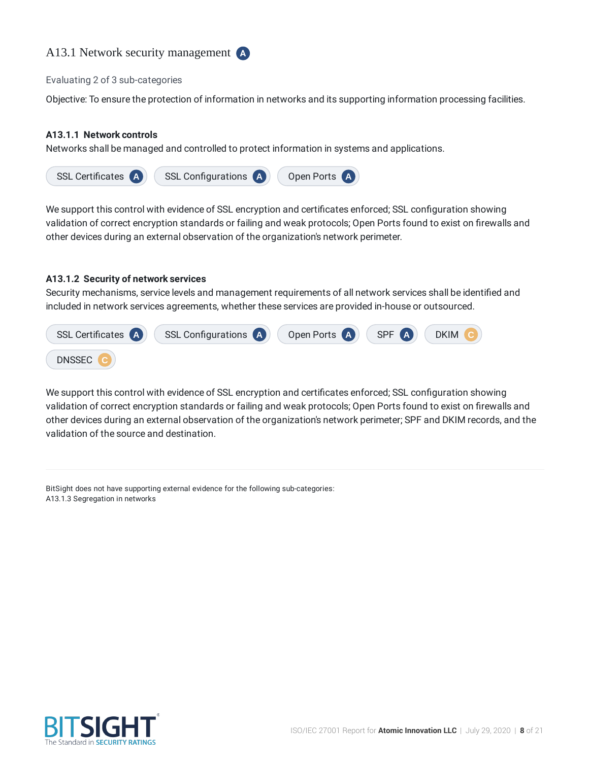# A13.1 Network security management **A**

#### Evaluating 2 of 3 sub-categories

Objective: To ensure the protection of information in networks and its supporting information processing facilities.

#### **A13.1.1 Network controls**

Networks shall be managed and controlled to protect information in systems and applications.



We support this control with evidence of SSL encryption and certificates enforced; SSL configuration showing validation of correct encryption standards or failing and weak protocols; Open Ports found to exist on firewalls and other devices during an external observation of the organization's network perimeter.

#### **A13.1.2 Security of network services**

Security mechanisms, service levels and management requirements of all network services shall be identified and included in network services agreements, whether these services are provided in-house or outsourced.



We support this control with evidence of SSL encryption and certificates enforced; SSL configuration showing validation of correct encryption standards or failing and weak protocols; Open Ports found to exist on firewalls and other devices during an external observation of the organization's network perimeter; SPF and DKIM records, and the validation of the source and destination.

BitSight does not have supporting external evidence for the following sub-categories: A13.1.3 Segregation in networks

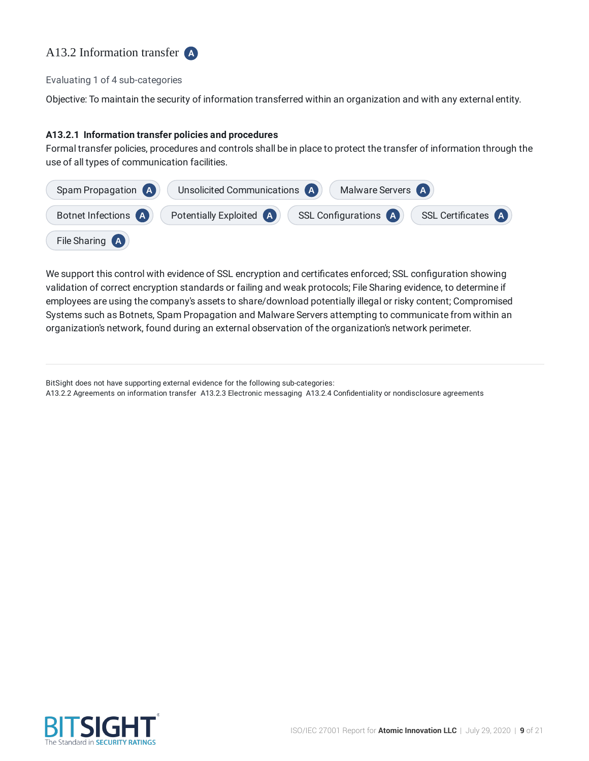# A13.2 Information transfer **A**

#### Evaluating 1 of 4 sub-categories

Objective: To maintain the security of information transferred within an organization and with any external entity.

#### **A13.2.1 Information transfer policies and procedures**

Formal transfer policies, procedures and controls shall be in place to protect the transfer of information through the use of all types of communication facilities.

| Spam Propagation (A)  | Unsolicited Communications (A)<br>Malware Servers (A)                     |
|-----------------------|---------------------------------------------------------------------------|
| Botnet Infections (A) | Potentially Exploited (A)<br>SSL Configurations (A)<br>SSL Certificates A |
| File Sharing (A)      |                                                                           |

We support this control with evidence of SSL encryption and certificates enforced; SSL configuration showing validation of correct encryption standards or failing and weak protocols; File Sharing evidence, to determine if employees are using the company's assets to share/download potentially illegal or risky content; Compromised Systems such as Botnets, Spam Propagation and Malware Servers attempting to communicate from within an organization's network, found during an external observation of the organization's network perimeter.

A13.2.2 Agreements on information transfer A13.2.3 Electronic messaging A13.2.4 Confidentiality or nondisclosure agreements



BitSight does not have supporting external evidence for the following sub-categories: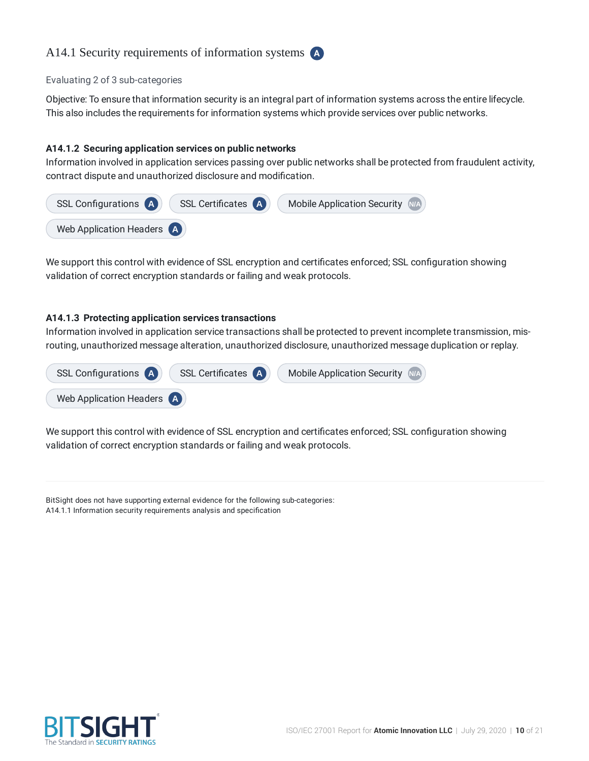# A14.1 Security requirements of information systems **A**

#### Evaluating 2 of 3 sub-categories

Objective: To ensure that information security is an integral part of information systems across the entire lifecycle. This also includes the requirements for information systems which provide services over public networks.

#### **A14.1.2 Securing application services on public networks**

Information involved in application services passing over public networks shall be protected from fraudulent activity, contract dispute and unauthorized disclosure and modification.



We support this control with evidence of SSL encryption and certificates enforced; SSL configuration showing validation of correct encryption standards or failing and weak protocols.

#### **A14.1.3 Protecting application services transactions**

Information involved in application service transactions shall be protected to prevent incomplete transmission, misrouting, unauthorized message alteration, unauthorized disclosure, unauthorized message duplication or replay.



We support this control with evidence of SSL encryption and certificates enforced; SSL configuration showing validation of correct encryption standards or failing and weak protocols.

BitSight does not have supporting external evidence for the following sub-categories: A14.1.1 Information security requirements analysis and specification

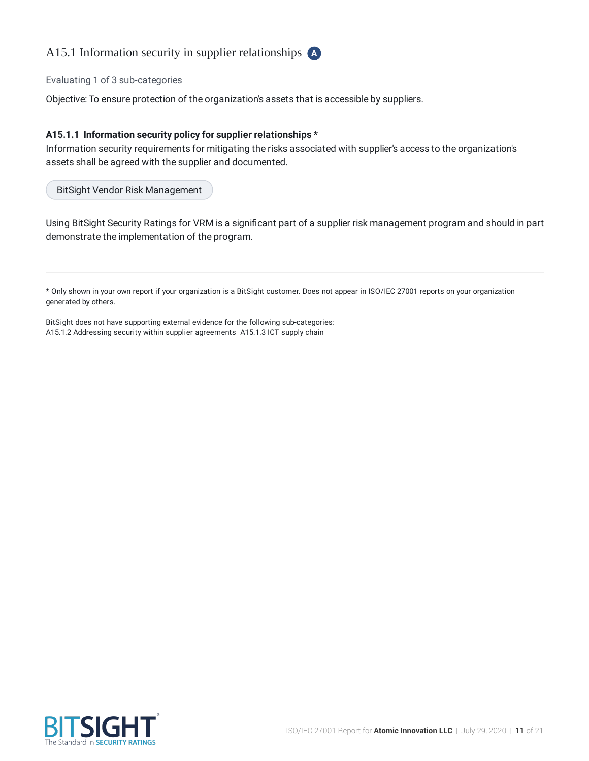# A15.1 Information security in supplier relationships **A**

Evaluating 1 of 3 sub-categories

Objective: To ensure protection of the organization's assets that is accessible by suppliers.

#### **A15.1.1 Information security policy for supplier relationships \***

Information security requirements for mitigating the risks associated with supplier's access to the organization's assets shall be agreed with the supplier and documented.

BitSight Vendor Risk Management

Using BitSight Security Ratings for VRM is a significant part of a supplier risk management program and should in part demonstrate the implementation of the program.

\* Only shown in your own report if your organization is a BitSight customer. Does not appear in ISO/IEC 27001 reports on your organization generated by others.

BitSight does not have supporting external evidence for the following sub-categories: A15.1.2 Addressing security within supplier agreements A15.1.3 ICT supply chain

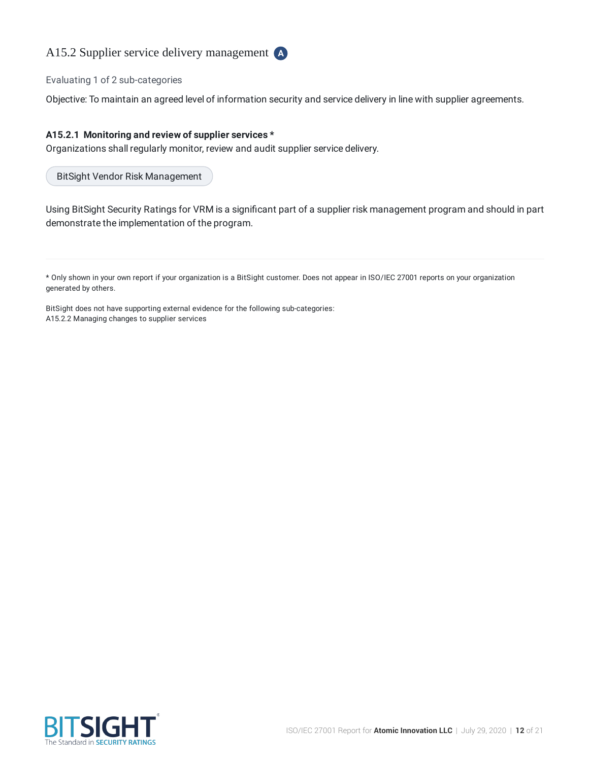

Evaluating 1 of 2 sub-categories

Objective: To maintain an agreed level of information security and service delivery in line with supplier agreements.

#### **A15.2.1 Monitoring and review of supplier services \***

Organizations shall regularly monitor, review and audit supplier service delivery.

BitSight Vendor Risk Management

Using BitSight Security Ratings for VRM is a significant part of a supplier risk management program and should in part demonstrate the implementation of the program.

\* Only shown in your own report if your organization is a BitSight customer. Does not appear in ISO/IEC 27001 reports on your organization generated by others.

BitSight does not have supporting external evidence for the following sub-categories: A15.2.2 Managing changes to supplier services

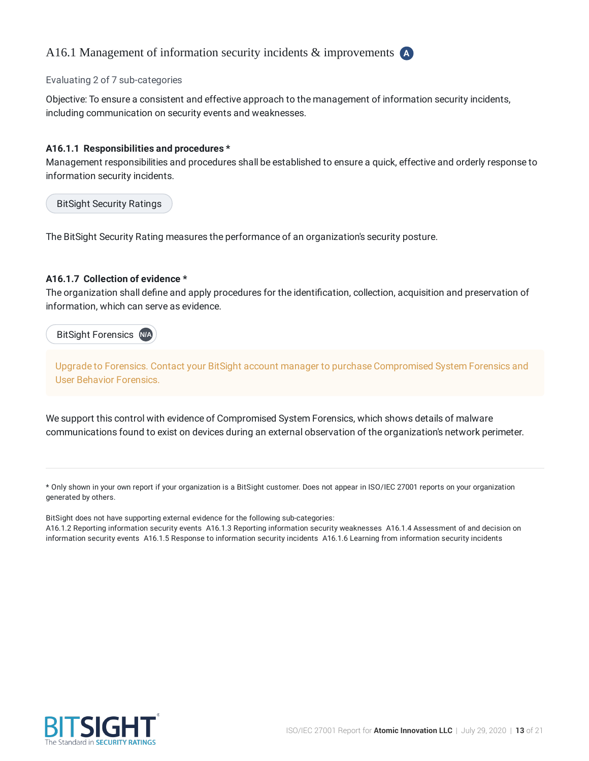# A16.1 Management of information security incidents & improvements **A**

#### Evaluating 2 of 7 sub-categories

Objective: To ensure a consistent and effective approach to the management of information security incidents, including communication on security events and weaknesses.

#### **A16.1.1 Responsibilities and procedures \***

Management responsibilities and procedures shall be established to ensure a quick, effective and orderly response to information security incidents.

BitSight Security Ratings

The BitSight Security Rating measures the performance of an organization's security posture.

#### **A16.1.7 Collection of evidence \***

The organization shall define and apply procedures for the identification, collection, acquisition and preservation of information, which can serve as evidence.

BitSight Forensics **N/A**

Upgrade to Forensics. Contact your BitSight account manager to purchase Compromised System Forensics and User Behavior Forensics.

We support this control with evidence of Compromised System Forensics, which shows details of malware communications found to exist on devices during an external observation of the organization's network perimeter.

\* Only shown in your own report if your organization is a BitSight customer. Does not appear in ISO/IEC 27001 reports on your organization generated by others.

BitSight does not have supporting external evidence for the following sub-categories:

A16.1.2 Reporting information security events A16.1.3 Reporting information security weaknesses A16.1.4 Assessment of and decision on information security events A16.1.5 Response to information security incidents A16.1.6 Learning from information security incidents

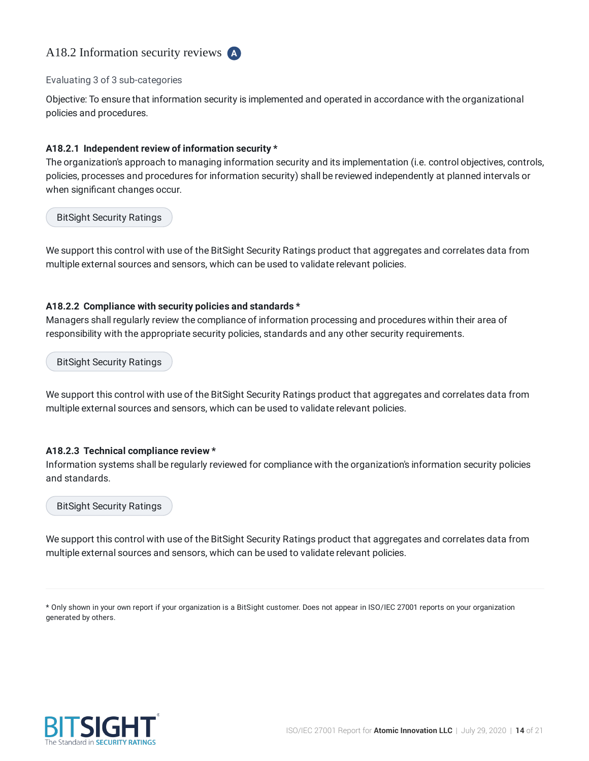# A18.2 Information security reviews **A**

#### Evaluating 3 of 3 sub-categories

Objective: To ensure that information security is implemented and operated in accordance with the organizational policies and procedures.

#### **A18.2.1 Independent review of information security \***

The organization's approach to managing information security and its implementation (i.e. control objectives, controls, policies, processes and procedures for information security) shall be reviewed independently at planned intervals or when significant changes occur.

BitSight Security Ratings

We support this control with use of the BitSight Security Ratings product that aggregates and correlates data from multiple external sources and sensors, which can be used to validate relevant policies.

#### **A18.2.2 Compliance with security policies and standards \***

Managers shall regularly review the compliance of information processing and procedures within their area of responsibility with the appropriate security policies, standards and any other security requirements.

BitSight Security Ratings

We support this control with use of the BitSight Security Ratings product that aggregates and correlates data from multiple external sources and sensors, which can be used to validate relevant policies.

#### **A18.2.3 Technical compliance review \***

Information systems shall be regularly reviewed for compliance with the organization's information security policies and standards.

#### BitSight Security Ratings

We support this control with use of the BitSight Security Ratings product that aggregates and correlates data from multiple external sources and sensors, which can be used to validate relevant policies.

\* Only shown in your own report if your organization is a BitSight customer. Does not appear in ISO/IEC 27001 reports on your organization generated by others.

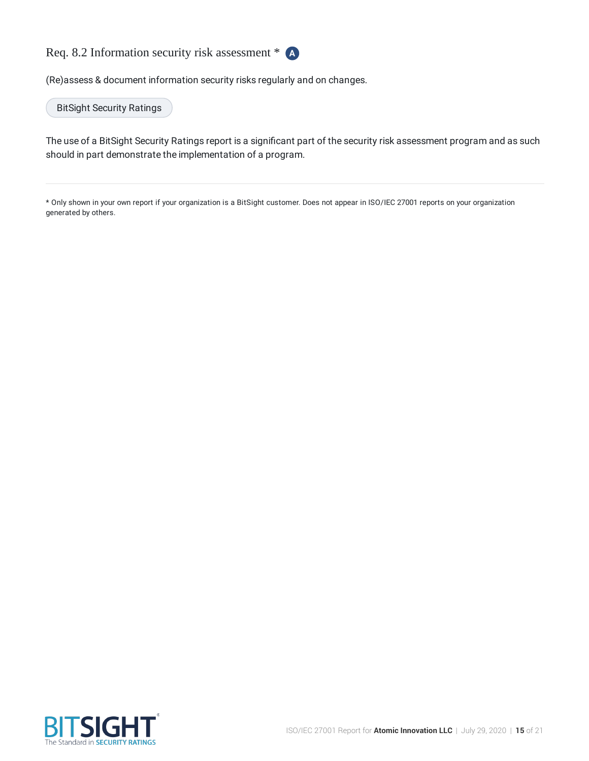

(Re)assess & document information security risks regularly and on changes.

BitSight Security Ratings

The use of a BitSight Security Ratings report is a significant part of the security risk assessment program and as such should in part demonstrate the implementation of a program.

\* Only shown in your own report if your organization is a BitSight customer. Does not appear in ISO/IEC 27001 reports on your organization generated by others.

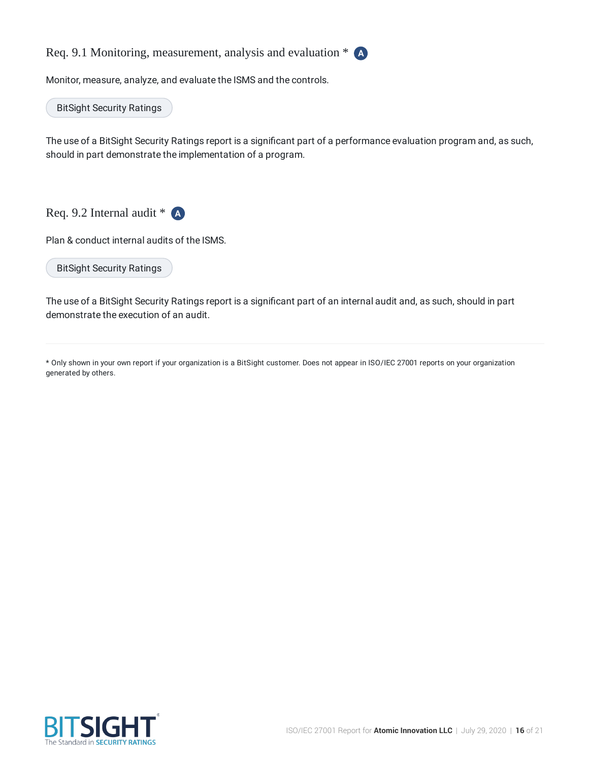Req. 9.1 Monitoring, measurement, analysis and evaluation \* **A**

Monitor, measure, analyze, and evaluate the ISMS and the controls.

BitSight Security Ratings

The use of a BitSight Security Ratings report is a significant part of a performance evaluation program and, as such, should in part demonstrate the implementation of a program.

Req. 9.2 Internal audit \* **A**

Plan & conduct internal audits of the ISMS.

BitSight Security Ratings

The use of a BitSight Security Ratings report is a significant part of an internal audit and, as such, should in part demonstrate the execution of an audit.

\* Only shown in your own report if your organization is a BitSight customer. Does not appear in ISO/IEC 27001 reports on your organization generated by others.

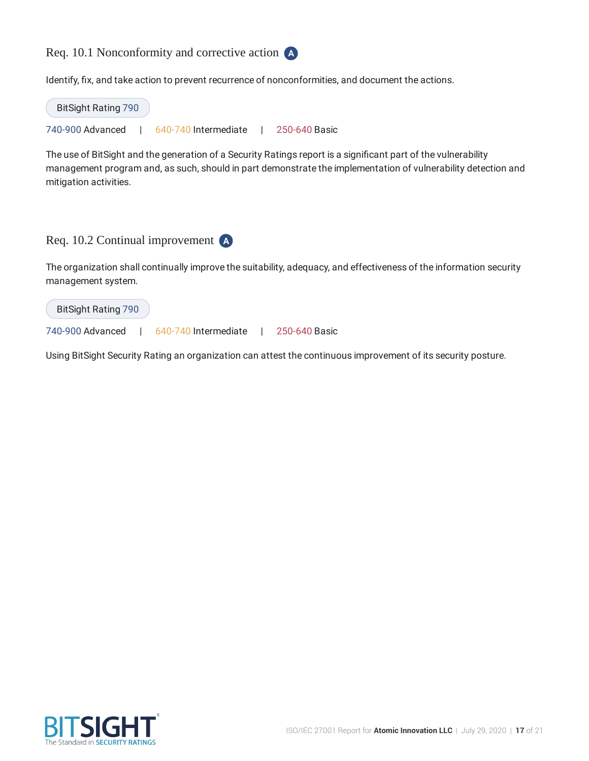# Req. 10.1 Nonconformity and corrective action **A**

Identify, fix, and take action to prevent recurrence of nonconformities, and document the actions.



The use of BitSight and the generation of a Security Ratings report is a significant part of the vulnerability management program and, as such, should in part demonstrate the implementation of vulnerability detection and mitigation activities.

# Req. 10.2 Continual improvement **A**

The organization shall continually improve the suitability, adequacy, and effectiveness of the information security management system.



Using BitSight Security Rating an organization can attest the continuous improvement of its security posture.

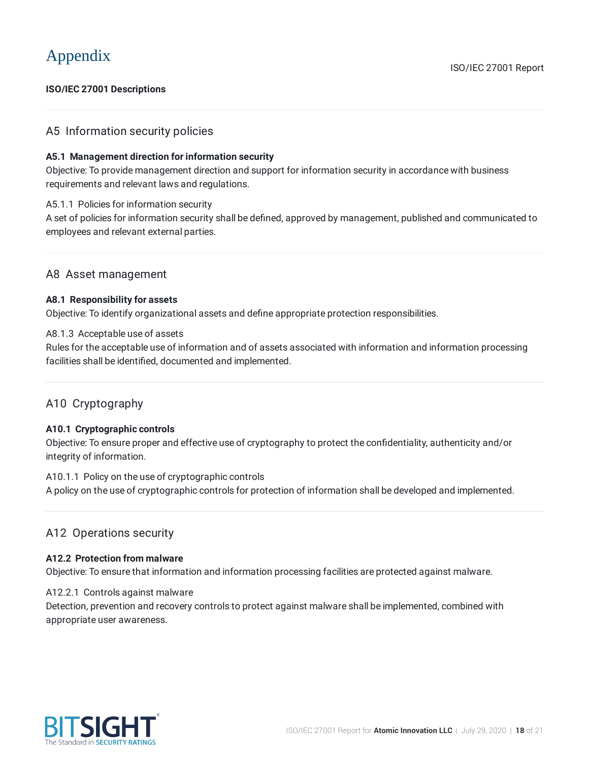### **ISO/IEC 27001 Descriptions**

## A5 Information security policies

#### **A5.1 Management direction for information security**

Objective: To provide management direction and support for information security in accordance with business requirements and relevant laws and regulations.

#### A5.1.1 Policies for information security

A set of policies for information security shall be defined, approved by management, published and communicated to employees and relevant external parties.

### A8 Asset management

#### **A8.1 Responsibility for assets**

Objective: To identify organizational assets and define appropriate protection responsibilities.

#### A8.1.3 Acceptable use of assets

Rules for the acceptable use of information and of assets associated with information and information processing facilities shall be identified, documented and implemented.

## A10 Cryptography

#### **A10.1 Cryptographic controls**

Objective: To ensure proper and effective use of cryptography to protect the confidentiality, authenticity and/or integrity of information.

#### A10.1.1 Policy on the use of cryptographic controls

A policy on the use of cryptographic controls for protection of information shall be developed and implemented.

## A12 Operations security

#### **A12.2 Protection from malware**

Objective: To ensure that information and information processing facilities are protected against malware.

#### A12.2.1 Controls against malware

Detection, prevention and recovery controls to protect against malware shall be implemented, combined with appropriate user awareness.

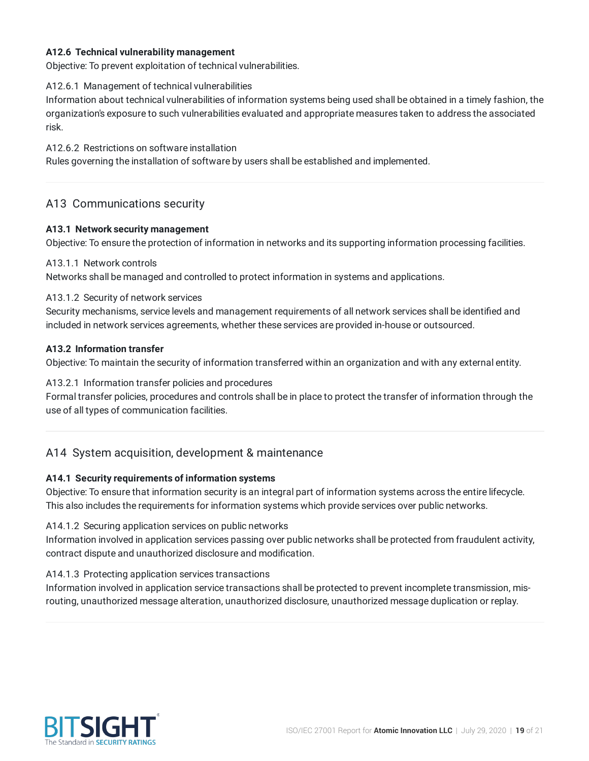#### **A12.6 Technical vulnerability management**

Objective: To prevent exploitation of technical vulnerabilities.

#### A12.6.1 Management of technical vulnerabilities

Information about technical vulnerabilities of information systems being used shall be obtained in a timely fashion, the organization's exposure to such vulnerabilities evaluated and appropriate measures taken to address the associated risk.

A12.6.2 Restrictions on software installation

Rules governing the installation of software by users shall be established and implemented.

# A13 Communications security

#### **A13.1 Network security management**

Objective: To ensure the protection of information in networks and its supporting information processing facilities.

#### A13.1.1 Network controls

Networks shall be managed and controlled to protect information in systems and applications.

#### A13.1.2 Security of network services

Security mechanisms, service levels and management requirements of all network services shall be identified and included in network services agreements, whether these services are provided in-house or outsourced.

#### **A13.2 Information transfer**

Objective: To maintain the security of information transferred within an organization and with any external entity.

#### A13.2.1 Information transfer policies and procedures

Formal transfer policies, procedures and controls shall be in place to protect the transfer of information through the use of all types of communication facilities.

# A14 System acquisition, development & maintenance

#### **A14.1 Security requirements of information systems**

Objective: To ensure that information security is an integral part of information systems across the entire lifecycle. This also includes the requirements for information systems which provide services over public networks.

#### A14.1.2 Securing application services on public networks

Information involved in application services passing over public networks shall be protected from fraudulent activity, contract dispute and unauthorized disclosure and modification.

#### A14.1.3 Protecting application services transactions

Information involved in application service transactions shall be protected to prevent incomplete transmission, misrouting, unauthorized message alteration, unauthorized disclosure, unauthorized message duplication or replay.

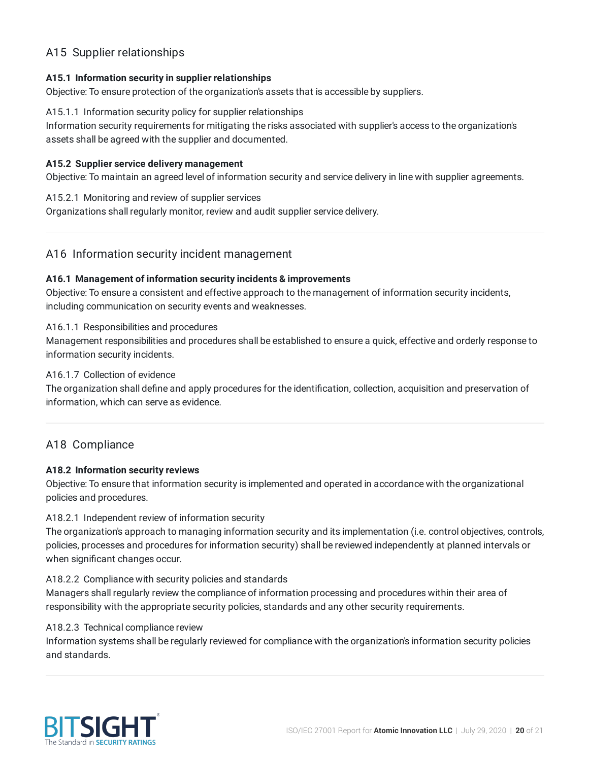# A15 Supplier relationships

#### **A15.1 Information security in supplier relationships**

Objective: To ensure protection of the organization's assets that is accessible by suppliers.

#### A15.1.1 Information security policy for supplier relationships

Information security requirements for mitigating the risks associated with supplier's access to the organization's assets shall be agreed with the supplier and documented.

#### **A15.2 Supplier service delivery management**

Objective: To maintain an agreed level of information security and service delivery in line with supplier agreements.

#### A15.2.1 Monitoring and review of supplier services

Organizations shall regularly monitor, review and audit supplier service delivery.

# A16 Information security incident management

#### **A16.1 Management of information security incidents & improvements**

Objective: To ensure a consistent and effective approach to the management of information security incidents, including communication on security events and weaknesses.

#### A16.1.1 Responsibilities and procedures

Management responsibilities and procedures shall be established to ensure a quick, effective and orderly response to information security incidents.

### A16.1.7 Collection of evidence

The organization shall define and apply procedures for the identification, collection, acquisition and preservation of information, which can serve as evidence.

## A18 Compliance

#### **A18.2 Information security reviews**

Objective: To ensure that information security is implemented and operated in accordance with the organizational policies and procedures.

#### A18.2.1 Independent review of information security

The organization's approach to managing information security and its implementation (i.e. control objectives, controls, policies, processes and procedures for information security) shall be reviewed independently at planned intervals or when significant changes occur.

#### A18.2.2 Compliance with security policies and standards

Managers shall regularly review the compliance of information processing and procedures within their area of responsibility with the appropriate security policies, standards and any other security requirements.

#### A18.2.3 Technical compliance review

Information systems shall be regularly reviewed for compliance with the organization's information security policies and standards.